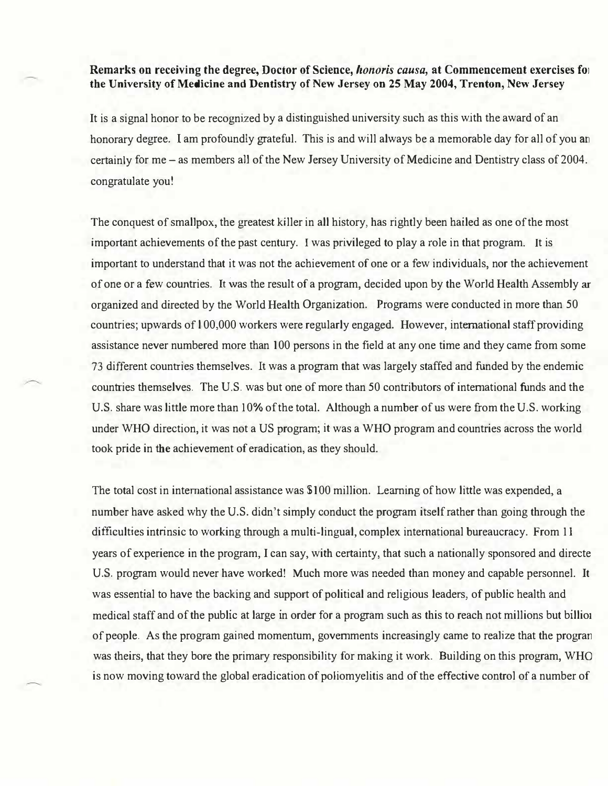## Remarks on receiving the degree, Doctor of Science, honoris causa, at Commencement exercises for the University of Medicine and Dentistry of New Jersey on 25 May 2004, Trenton, New Jersey

It is a signal honor to be recognized by a distinguished university such as this with the award of an honorary degree. I am profoundly grateful. This is and will always be a memorable day for all of you an certainly for me – as members all of the New Jersey University of Medicine and Dentistry class of 2004. congratulate you!

The conquest of smallpox, the greatest killer in all history, has rightly been hailed as one of the most important achievements of the past century. I was privileged to play a role in that program. It is important to understand that it was not the achievement of one or a few individuals, nor the achievement of one or a few countries. It was the result of a program, decided upon by the World Health Assembly ar organized and directed by the World Health Organization. Programs were conducted in more than 50 countries; upwards of l 00,000 workers were regularly engaged. However, international staff providing assistance never numbered more than 100 persons in the field at any one time and they came from some 73 different countries themselves. It was a program that was largely staffed and funded by the endemic countries themselves. The U.S. was but one of more than 50 contributors of international funds and the U.S. share was little more than 10% of the total. Although a number of us were from the U.S. working under WHO direction, it was not a US program; it was a WHO program and countries across the world took pride in the achievement of eradication, as they should.

The total cost in international assistance was \$100 million. Learning of how little was expended, a number have asked why the U.S. didn't simply conduct the program itself rather than going through the difficulties intrinsic to working through a multi-lingual, complex international bureaucracy. From 11 years of experience in the program, I can say, with certainty, that such a nationally sponsored and directe U.S. program would never have worked! Much more was needed than money and capable personnel. It was essential to have the backing and support of political and religious leaders, of public health and medical staff and of the public at large in order for a program such as this to reach not millions but billio1 of people. As the program gained momentum, governments increasingly came to realize that the progran was theirs, that they bore the primary responsibility for making it work. Building on this program, WHO is now moving toward the global eradication of poliomyelitis and of the effective control of a number of